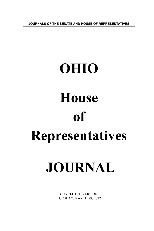**JOURNALS OF THE SENATE AND HOUSE OF REPRESENTATIVES**

# **OHIO House of Representatives**

## **JOURNAL**

CORRECTED VERSION TUESDAY, MARCH 29, 2022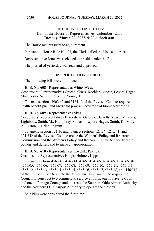#### ONE HUNDRED FORTIETH DAY Hall of the House of Representatives, Columbus, Ohio **Tuesday, March 29, 2022, 9:00 o'clock a.m.**

The House met pursuant to adjournment.

Pursuant to House Rule No. 23, the Clerk called the House to order.

Representative Jones was selected to preside under the Rule.

The journal of yesterday was read and approved.

#### **INTRODUCTION OF BILLS**

The following bills were introduced:

**H. B. No. 608 -** Representatives White, West. Cosponsors: Representatives Creech, Cross, Koehler, Lanese, Lepore-Hagan, Manchester, Schmidt, Sheehy, Young, T.

To enact sections 3902.62 and 5164.13 of the Revised Code to require health benefit plan and Medicaid program coverage of biomarker testing.

**H. B. No. 609 -** Representative Sykes.

Cosponsors: Representatives Blackshear, Galonski, Jarrells, Russo, Miranda, Lightbody, Smith, M., Humphrey, Sobecki, Lepore-Hagan, Smith, K., Miller, A., Liston, O'Brien, Ingram.

To amend section 121.30 and to enact sections 121.34, 121.341, and 121.342 of the Revised Code to create the Women's Policy and Research Commission and the Women's Policy and Research Center, to specify their powers and duties, and to make an appropriation.

**H. B. No. 610 -** Representatives Loychik, Pavliga. Cosponsors: Representatives Hoops, Holmes, Lipps.

To enact sections 4563.40, 4563.41, 4565.01, 4565.02, 4565.03, 4565.04, 4565.05, 4565.06, 4565.07, 4565.08, 4565.09, 4565.10, 4565.11, 4565.111, 4565.12, 4565.13, 4565.14, 4565.15, 4565.16, 4565.17, 4565.18, and 4565.19 of the Revised Code to create the Major Air Hub Council, to require the Council to construct two commercial service airports, one in Fayette County and one in Portage County, and to create the Southern Ohio Airport Authority and the Northern Ohio Airport Authority to operate the airports.

Said bills were considered the first time.

2630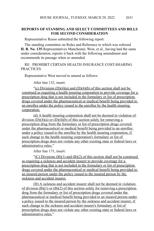#### **REPORTS OF STANDING AND SELECT COMMITTEES AND BILLS FOR SECOND CONSIDERATION**

Representative Russo submitted the following report:

The standing committee on Rules and Reference to which was referred **H. B. No. 135**-Representatives Manchester, West, et al., having had the same under consideration, reports it back with the following amendment and recommends its passage when so amended.

RE: PROHIBIT CERTAIN HEALTH INSURANCE COST-SHARING **PRACTICES** 

Representative West moved to amend as follows:

After line 132, insert:

"(c) Divisions  $(D)(4)(a)$  and  $(D)(4)(b)$  of this section shall not be construed as requiring a health insuring corporation to provide coverage for a prescription drug that is not included in the formulary or list of prescription drugs covered under the pharmaceutical or medical benefit being provided to an enrollee under the policy issued to the enrollee by the health insuring corporation.

(d) A health insuring corporation shall not be deemed in violation of division  $(D)(4)(a)$  or  $(D)(4)(b)$  of this section solely for removing a prescription drug from the formulary or list of prescription drugs covered under the pharmaceutical or medical benefit being provided to an enrollee under a policy issued to the enrollee by the health insuring corporation, if such change to the health insuring corporation's formulary or list of prescription drugs does not violate any other existing state or federal laws or administrative rules."

After line 171, insert:

 $C$ ) Divisions (B)(1) and (B)(2) of this section shall not be construed as requiring a sickness and accident insurer to provide coverage for a prescription drug that is not included in the formulary or list of prescription drugs covered under the pharmaceutical or medical benefit being provided to an insured person under the policy issued to the insured person by the sickness and accident insurer.

(D) A sickness and accident insurer shall not be deemed in violation of division  $(B)(1)$  or  $(B)(2)$  of this section solely for removing a prescription drug from the formulary or list of prescription drugs covered under the pharmaceutical or medical benefit being provided to an insured person under a policy issued to the insured person by the sickness and accident insurer, if such change to the sickness and accident insurer's formulary or list of prescription drugs does not violate any other existing state or federal laws or administrative rules."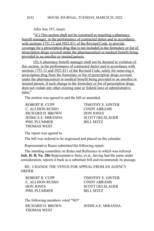After line 197, insert:

"(C) This section shall not be construed as requiring a pharmacy benefit manager, in the performance of contracted duties and in accordance with sections 1751.12 and 3923.811 of the Revised Code, to provide coverage for a prescription drug that is not included in the formulary or list of prescription drugs covered under the pharmaceutical or medical benefit being provided to an enrollee or insured person.

(D) A pharmacy benefit manager shall not be deemed in violation of this section, in the performance of contracted duties and in accordance with sections 1751.12 and 3923.811 of the Revised Code, solely for removing a prescription drug from the formulary or list of prescription drugs covered under the pharmaceutical or medical benefit being provided to an enrollee or insured person, if such change to the formulary or list of prescription drugs does not violate any other existing state or federal laws or administrative rules."

The motion was agreed to and the bill so amended.

C. ALLISON RUSSO CINDY ABRAMS RICHARD D. BROWN DON JONES JESSICA E. MIRANDA SCOTT OELSLAGER PHIL PLUMMER
BILL SEITZ THOMAS WEST

ROBERT R. CUPP TIMOTHY E. GINTER

The report was agreed to.

The bill was ordered to be engrossed and placed on the calendar.

Representative Russo submitted the following report:

The standing committee on Rules and Reference to which was referred **Sub. H. B. No. 286**-Representative Seitz, et al., having had the same under consideration, reports it back as a substitute bill and recommends its passage.

RE: CHANGE THE VENUE FOR APPEAL FROM AN AGENCY **ORDER** 

C. ALLISON RUSSO CINDY ABRAMS PHIL PLUMMER
BILL SEITZ

ROBERT R. CUPP TIMOTHY E. GINTER DON JONES SCOTT OELSLAGER

The following members voted "NO" RICHARD D. BROWN JESSICA E. MIRANDA THOMAS WEST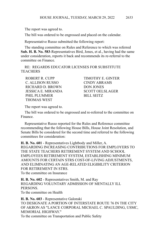The report was agreed to.

The bill was ordered to be engrossed and placed on the calendar.

Representative Russo submitted the following report:

The standing committee on Rules and Reference to which was referred **Sub. H. B. No. 583**-Representatives Bird, Jones, et al., having had the same under consideration, reports it back and recommends its re-referral to the committee on Finance.

RE: REGARDS EDUCATOR LICENSES FOR SUBSTITUTE **TEACHERS** 

ROBERT R. CUPP TIMOTHY E. GINTER C. ALLISON RUSSO CINDY ABRAMS RICHARD D. BROWN DON JONES JESSICA E. MIRANDA SCOTT OELSLAGER PHIL PLUMMER BILL SEITZ THOMAS WEST

The report was agreed to.

The bill was ordered to be engrossed and re-referred to the committee on Finance.

Representative Russo reported for the Rules and Reference committee recommending that the following House Bills, House Joint Resolution, and Senate Bills be considered for the second time and referred to the following committees for consideration:

**H. B. No. 601** - Representatives Lightbody and Miller, A. REGARDING INCREASING CONTRIBUTIONS FOR EMPLOYERS TO THE STATE TEACHERS RETIREMENT SYSTEM AND SCHOOL EMPLOYEES RETIREMENT SYSTEM, ESTABLISHING MINIMUM AMOUNTS FOR CERTAIN STRS COST-OF-LIVING ADJUSTMENTS, AND ELIMINATING AN AGE-RELATED ELIGIBILITY CRITERION FOR RETIREMENT IN STRS To the committee on Insurance

**H. B. No. 602** - Representatives Smith, M. and Ray REGARDING VOLUNTARY ADMISSION OF MENTALLY ILL **PERSONS** To the committee on Health

**H. B. No. 603** - Representative Galonski TO DESIGNATE A PORTION OF INTERSTATE ROUTE 76 IN THE CITY OF AKRON AS "LANCE CORPORAL MICHAEL C. SPAULDING, USMC, MEMORIAL HIGHWAY."

To the committee on Transportation and Public Safety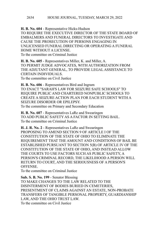**H. B. No. 604** - Representative Hicks-Hudson

TO REQUIRE THE EXECUTIVE DIRECTOR OF THE STATE BOARD OF EMBALMERS AND FUNERAL DIRECTORS TO INVESTIGATE AND CAUSE THE PROSECUTION OF PERSONS ENGAGING IN UNLICENSED FUNERAL DIRECTING OR OPERATING A FUNERAL HOME WITHOUT A LICENSE. To the committee on Criminal Justice

**H. B. No. 605** - Representatives Miller, K. and Miller, A. TO PERMIT JUDGE ADVOCATES, WITH AUTHORIZATION FROM THE ADJUTANT GENERAL, TO PROVIDE LEGAL ASSISTANCE TO CERTAIN INDIVIDUALS. To the committee on Civil Justice

**H. B. No. 606** - Representatives Bird and Ingram TO ENACT "SARAH'S LAW FOR SEIZURE SAFE SCHOOLS" TO REQUIRE PUBLIC AND CHARTERED NONPUBLIC SCHOOLS TO CREATE A SEIZURE ACTION PLAN FOR EACH STUDENT WITH A SEIZURE DISORDER OR EPILEPSY. To the committee on Primary and Secondary Education

**H. B. No. 607** - Representatives LaRe and Swearingen TO ADD PUBLIC SAFETY AS A FACTOR IN SETTING BAIL. To the committee on Criminal Justice

**H. J. R. No. 2** - Representatives LaRe and Swearingen PROPOSING TO AMEND SECTION 9 OF ARTICLE I OF THE CONSTITUTION OF THE STATE OF OHIO TO ELIMINATE THE REQUIREMENT THAT THE AMOUNT AND CONDITIONS OF BAIL BE ESTABLISHED PURSUANT TO SECTION 5(B) OF ARTICLE IV OF THE CONSTITUTION OF THE STATE OF OHIO, AND INSTEAD ALLOW THE COURTS TO USE FACTORS SUCH AS PUBLIC SAFETY, A PERSON'S CRIMINAL RECORD, THE LIKELIHOOD A PERSON WILL RETURN TO COURT, AND THE SERIOUSNESS OF A PERSON'S OFFENSE.

To the committee on Criminal Justice

**Sub. S. B. No. 199** - Senator Blessing TO MAKE CHANGES TO THE LAW RELATED TO THE DISINTERMENT OF BODIES BURIED IN CEMETERIES, PRESENTMENT OF CLAIMS AGAINST AN ESTATE, NON-PROBATE TRANSFERS OF TANGIBLE PERSONAL PROPERTY, GUARDIANSHIP LAW, AND THE OHIO TRUST LAW. To the committee on Civil Justice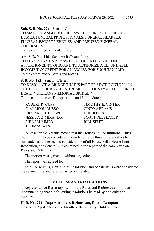**Sub. S. B. No. 224** - Senator Cirino TO MAKE CHANGES TO THE LAWS THAT IMPACT FUNERAL HOMES, FUNERAL PROFESSIONALS, FUNERAL HEARSES, FUNERAL ESCORT VEHICLES, AND PRENEED FUNERAL

CONTRACTS.

To the committee on Civil Justice

**Am. S. B. No. 246** - Senators Rulli and Lang TO LEVY A TAX ON A PASS-THROUGH ENTITY'S INCOME APPORTIONED TO OHIO AND TO AUTHORIZE A REFUNDABLE INCOME TAX CREDIT FOR AN OWNER FOR SUCH TAX PAID. To the committee on Ways and Means

**S. B. No. 282** - Senator O'Brien

TO DESIGNATE A BRIDGE THAT IS PART OF STATE ROUTE 304 IN THE CITY OF HUBBARD IN TRUMBULL COUNTY AS THE "PURPLE HEART VETERANS MEMORIAL BRIDGE." To the committee on Transportation and Public Safety

C. ALLISON RUSSO CINDY ABRAMS RICHARD D. BROWN DON JONES JESSICA E. MIRANDA SCOTT OELSLAGER PHIL PLUMMER BILL SEITZ THOMAS WEST

ROBERT R. CUPP TIMOTHY E. GINTER

Representative Abrams moved that the House and Constitutional Rules requiring bills to be considered by each house on three different days be suspended as to the second consideration of all House Bills, House Joint Resolution, and Senate Bills contained in the report of the committee on Rules and Reference.

The motion was agreed to without objection.

The report was agreed to.

Said House Bills, House Joint Resolution, and Senate Bills were considered the second time and referred as recommended.

### **MOTIONS AND RESOLUTIONS**

Representative Russo reported for the Rules and Reference committee recommending that the following resolutions be read by title only and approved:

**H. R. No. 224** - **Representatives Richardson, Russo, Lampton** Observing April 2022 as the Month of the Military Child in Ohio.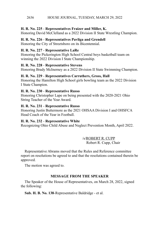#### HOUSE JOURNAL, TUESDAY, MARCH 29, 2022 2636

#### **H. R. No. 225** - **Representatives Fraizer and Miller, K.**

Honoring David McClelland as a 2022 Division II State Wrestling Champion.

#### **H. R. No. 226** - **Representatives Pavliga and Grendell**

Honoring the City of Streetsboro on its Bicentennial.

#### **H. R. No. 227** - **Representative LaRe**

Honoring the Pickerington High School Central boys basketball team on winning the 2022 Division I State Championship.

#### **H. R. No. 228** - **Representative Stevens**

Honoring Brady McInerney as a 2022 Division II State Swimming Champion.

#### **H. R. No. 229** - **Representatives Carruthers, Gross, Hall**

Honoring the Hamilton High School girls bowling team as the 2022 Division I State Champion.

#### **H. R. No. 230** - **Representative Russo**

Honoring Christopher Lape on being presented with the 2020-2021 Ohio String Teacher of the Year Award.

#### **H. R. No. 231** - **Representative Russo**

Honoring Justin Buttermore as the 2021 OHSAA Division I and OHSFCA Head Coach of the Year in Football.

#### **H. R. No. 232** - **Representative White**

Recognizing Ohio Child Abuse and Neglect Prevention Month, April 2022.

/s/ROBERT R. CUPP Robert R. Cupp, Chair

Representative Abrams moved that the Rules and Reference committee report on resolutions be agreed to and that the resolutions contained therein be approved.

The motion was agreed to.

#### **MESSAGE FROM THE SPEAKER**

The Speaker of the House of Representatives, on March 28, 2022, signed the following:

**Sub. H. B. No. 138**-Representative Baldridge - et al.